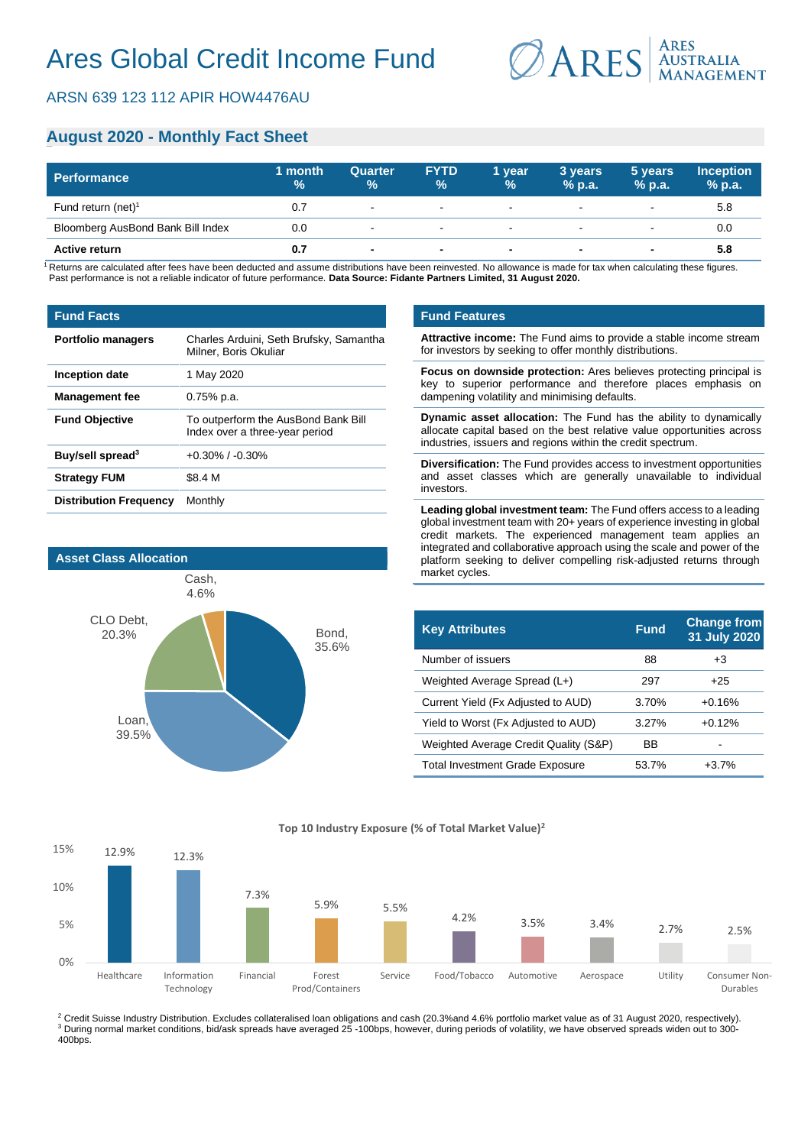# **August 2020 - Monthly Fact Sheet**

| <b>Performance</b>                | 1 month<br>$\%$ | <b>Quarter</b><br>$\%$ | <b>FYTD</b><br>$\%$      | 1 year<br>$\frac{9}{6}$ | 3 years<br>$%$ p.a.      | 5 years<br>$%$ p.a.      | <b>Inception</b><br>$%$ p.a. |
|-----------------------------------|-----------------|------------------------|--------------------------|-------------------------|--------------------------|--------------------------|------------------------------|
| Fund return (net) <sup>1</sup>    | 0.7             | $\sim$                 | $\sim$                   | $\sim$                  | $\overline{\phantom{a}}$ | $\overline{\phantom{0}}$ | 5.8                          |
| Bloomberg AusBond Bank Bill Index | 0.0             | $\sim$                 | $\blacksquare$           | $\sim$                  | $\sim$                   | $\overline{\phantom{a}}$ | 0.0                          |
| <b>Active return</b>              | 0.7             |                        | $\overline{\phantom{a}}$ | $\sim$                  | $\blacksquare$           | $\blacksquare$           | 5.8                          |

<sup>1</sup> Returns are calculated after fees have been deducted and assume distributions have been reinvested. No allowance is made for tax when calculating these figures. Past performance is not a reliable indicator of future performance. **Data Source: Fidante Partners Limited, 31 August 2020.**

#### **Fund Facts**

| <b>Portfolio managers</b>     | Charles Arduini, Seth Brufsky, Samantha<br>Milner, Boris Okuliar      |  |  |
|-------------------------------|-----------------------------------------------------------------------|--|--|
| Inception date                | 1 May 2020                                                            |  |  |
| <b>Management fee</b>         | $0.75%$ p.a.                                                          |  |  |
| <b>Fund Objective</b>         | To outperform the AusBond Bank Bill<br>Index over a three-year period |  |  |
| Buy/sell spread <sup>3</sup>  | $+0.30\%$ / $-0.30\%$                                                 |  |  |
| <b>Strategy FUM</b>           | \$8.4 M                                                               |  |  |
| <b>Distribution Frequency</b> | Monthly                                                               |  |  |



### **Fund Features**

**Attractive income:** The Fund aims to provide a stable income stream for investors by seeking to offer monthly distributions.

**Focus on downside protection:** Ares believes protecting principal is key to superior performance and therefore places emphasis on dampening volatility and minimising defaults.

**Dynamic asset allocation:** The Fund has the ability to dynamically allocate capital based on the best relative value opportunities across industries, issuers and regions within the credit spectrum.

**Diversification:** The Fund provides access to investment opportunities and asset classes which are generally unavailable to individual investors.

**Leading global investment team:** The Fund offers access to a leading global investment team with 20+ years of experience investing in global credit markets. The experienced management team applies an integrated and collaborative approach using the scale and power of the platform seeking to deliver compelling risk-adjusted returns through market cycles.

| <b>Key Attributes</b>                 | <b>Fund</b> | <b>Change from</b><br>31 July 2020 |
|---------------------------------------|-------------|------------------------------------|
| Number of issuers                     | 88          | $+3$                               |
| Weighted Average Spread (L+)          | 297         | $+25$                              |
| Current Yield (Fx Adjusted to AUD)    | 3.70%       | $+0.16%$                           |
| Yield to Worst (Fx Adjusted to AUD)   | 3.27%       | $+0.12%$                           |
| Weighted Average Credit Quality (S&P) | ВB          |                                    |
| Total Investment Grade Exposure       | 53.7%       | $+3.7%$                            |



<sup>2</sup> Credit Suisse Industry Distribution. Excludes collateralised loan obligations and cash (20.3%and 4.6% portfolio market value as of 31 August 2020, respectively). <sup>3</sup> During normal market conditions, bid/ask spreads have averaged 25 -100bps, however, during periods of volatility, we have observed spreads widen out to 300-400bps.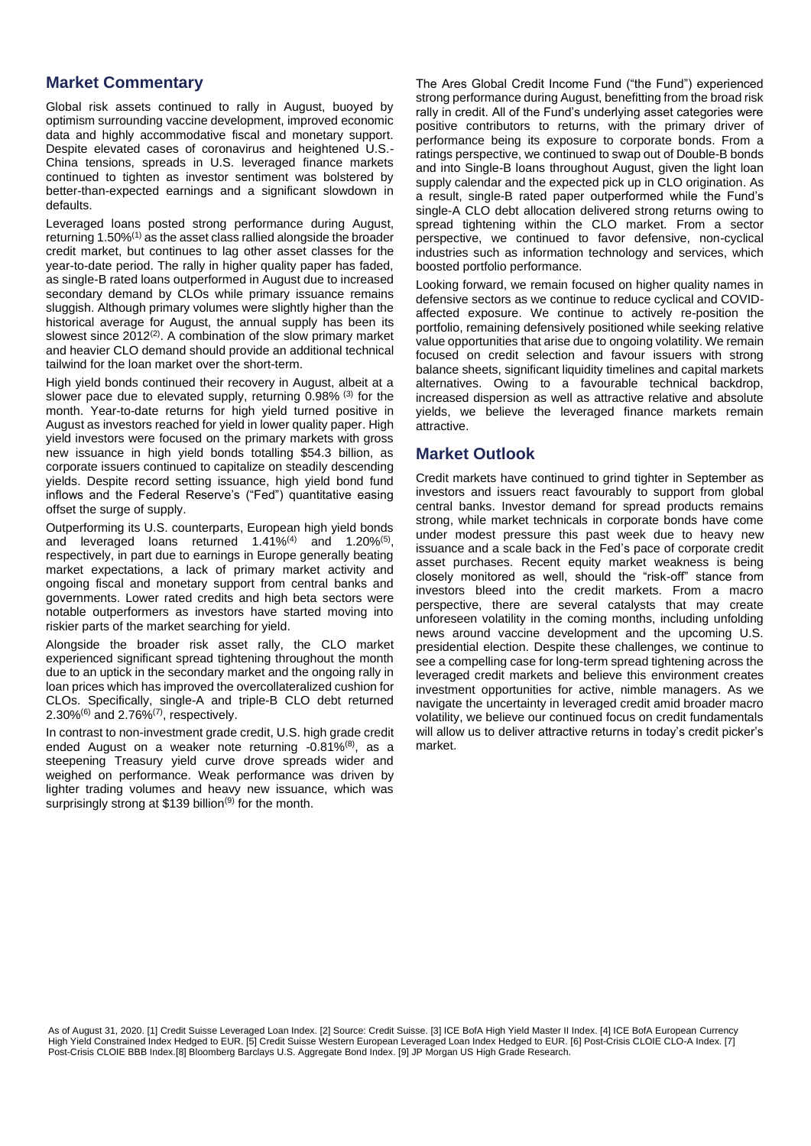# **Market Commentary**

Global risk assets continued to rally in August, buoyed by optimism surrounding vaccine development, improved economic data and highly accommodative fiscal and monetary support. Despite elevated cases of coronavirus and heightened U.S.- China tensions, spreads in U.S. leveraged finance markets continued to tighten as investor sentiment was bolstered by better-than-expected earnings and a significant slowdown in defaults.

Leveraged loans posted strong performance during August, returning 1.50% $(1)$  as the asset class rallied alongside the broader credit market, but continues to lag other asset classes for the year-to-date period. The rally in higher quality paper has faded, as single-B rated loans outperformed in August due to increased secondary demand by CLOs while primary issuance remains sluggish. Although primary volumes were slightly higher than the historical average for August, the annual supply has been its slowest since  $2012^{(2)}$ . A combination of the slow primary market and heavier CLO demand should provide an additional technical tailwind for the loan market over the short-term.

High yield bonds continued their recovery in August, albeit at a slower pace due to elevated supply, returning 0.98% (3) for the month. Year-to-date returns for high yield turned positive in August as investors reached for yield in lower quality paper. High yield investors were focused on the primary markets with gross new issuance in high yield bonds totalling \$54.3 billion, as corporate issuers continued to capitalize on steadily descending yields. Despite record setting issuance, high yield bond fund inflows and the Federal Reserve's ("Fed") quantitative easing offset the surge of supply.

Outperforming its U.S. counterparts, European high yield bonds and leveraged loans returned 1.41%<sup>(4)</sup> and 1.20%<sup>(5)</sup>, respectively, in part due to earnings in Europe generally beating market expectations, a lack of primary market activity and ongoing fiscal and monetary support from central banks and governments. Lower rated credits and high beta sectors were notable outperformers as investors have started moving into riskier parts of the market searching for yield.

Alongside the broader risk asset rally, the CLO market experienced significant spread tightening throughout the month due to an uptick in the secondary market and the ongoing rally in loan prices which has improved the overcollateralized cushion for CLOs. Specifically, single-A and triple-B CLO debt returned  $2.30\%$ <sup>(6)</sup> and  $2.76\%$ <sup>(7)</sup>, respectively.

In contrast to non-investment grade credit, U.S. high grade credit ended August on a weaker note returning -0.81%<sup>(8)</sup>, as a steepening Treasury yield curve drove spreads wider and weighed on performance. Weak performance was driven by lighter trading volumes and heavy new issuance, which was surprisingly strong at \$139 billion<sup>(9)</sup> for the month.

The Ares Global Credit Income Fund ("the Fund") experienced strong performance during August, benefitting from the broad risk rally in credit. All of the Fund's underlying asset categories were positive contributors to returns, with the primary driver of performance being its exposure to corporate bonds. From a ratings perspective, we continued to swap out of Double-B bonds and into Single-B loans throughout August, given the light loan supply calendar and the expected pick up in CLO origination. As a result, single-B rated paper outperformed while the Fund's single-A CLO debt allocation delivered strong returns owing to spread tightening within the CLO market. From a sector perspective, we continued to favor defensive, non-cyclical industries such as information technology and services, which boosted portfolio performance.

Looking forward, we remain focused on higher quality names in defensive sectors as we continue to reduce cyclical and COVIDaffected exposure. We continue to actively re-position the portfolio, remaining defensively positioned while seeking relative value opportunities that arise due to ongoing volatility. We remain focused on credit selection and favour issuers with strong balance sheets, significant liquidity timelines and capital markets alternatives. Owing to a favourable technical backdrop, increased dispersion as well as attractive relative and absolute yields, we believe the leveraged finance markets remain attractive.

## **Market Outlook**

Credit markets have continued to grind tighter in September as investors and issuers react favourably to support from global central banks. Investor demand for spread products remains strong, while market technicals in corporate bonds have come under modest pressure this past week due to heavy new issuance and a scale back in the Fed's pace of corporate credit asset purchases. Recent equity market weakness is being closely monitored as well, should the "risk-off" stance from investors bleed into the credit markets. From a macro perspective, there are several catalysts that may create unforeseen volatility in the coming months, including unfolding news around vaccine development and the upcoming U.S. presidential election. Despite these challenges, we continue to see a compelling case for long-term spread tightening across the leveraged credit markets and believe this environment creates investment opportunities for active, nimble managers. As we navigate the uncertainty in leveraged credit amid broader macro volatility, we believe our continued focus on credit fundamentals will allow us to deliver attractive returns in today's credit picker's market.

As of August 31, 2020. [1] Credit Suisse Leveraged Loan Index. [2] Source: Credit Suisse. [3] ICE BofA High Yield Master II Index. [4] ICE BofA European Currency High Yield Constrained Index Hedged to EUR. [5] Credit Suisse Western European Leveraged Loan Index Hedged to EUR. [6] Post-Crisis CLOIE CLO-A Index. [7] Post-Crisis CLOIE BBB Index.[8] Bloomberg Barclays U.S. Aggregate Bond Index. [9] JP Morgan US High Grade Research.